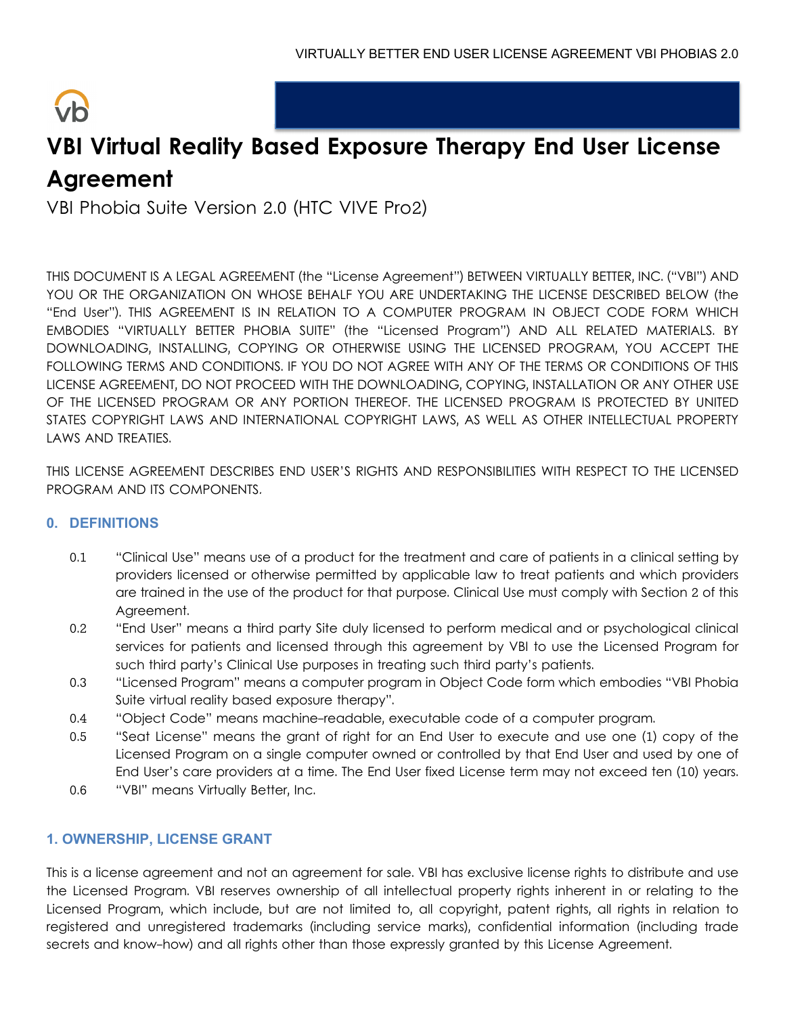

# **VBI Virtual Reality Based Exposure Therapy End User License Agreement**

VBI Phobia Suite Version 2.0 (HTC VIVE Pro2)

THIS DOCUMENT IS A LEGAL AGREEMENT (the "License Agreement") BETWEEN VIRTUALLY BETTER, INC. ("VBI") AND YOU OR THE ORGANIZATION ON WHOSE BEHALF YOU ARE UNDERTAKING THE LICENSE DESCRIBED BELOW (the "End User"). THIS AGREEMENT IS IN RELATION TO A COMPUTER PROGRAM IN OBJECT CODE FORM WHICH EMBODIES "VIRTUALLY BETTER PHOBIA SUITE" (the "Licensed Program") AND ALL RELATED MATERIALS. BY DOWNLOADING, INSTALLING, COPYING OR OTHERWISE USING THE LICENSED PROGRAM, YOU ACCEPT THE FOLLOWING TERMS AND CONDITIONS. IF YOU DO NOT AGREE WITH ANY OF THE TERMS OR CONDITIONS OF THIS LICENSE AGREEMENT, DO NOT PROCEED WITH THE DOWNLOADING, COPYING, INSTALLATION OR ANY OTHER USE OF THE LICENSED PROGRAM OR ANY PORTION THEREOF. THE LICENSED PROGRAM IS PROTECTED BY UNITED STATES COPYRIGHT LAWS AND INTERNATIONAL COPYRIGHT LAWS, AS WELL AS OTHER INTELLECTUAL PROPERTY LAWS AND TREATIES.

THIS LICENSE AGREEMENT DESCRIBES END USER'S RIGHTS AND RESPONSIBILITIES WITH RESPECT TO THE LICENSED PROGRAM AND ITS COMPONENTS.

# **0. DEFINITIONS**

- 0.1 "Clinical Use" means use of a product for the treatment and care of patients in a clinical setting by providers licensed or otherwise permitted by applicable law to treat patients and which providers are trained in the use of the product for that purpose. Clinical Use must comply with Section 2 of this Agreement.
- 0.2 "End User" means a third party Site duly licensed to perform medical and or psychological clinical services for patients and licensed through this agreement by VBI to use the Licensed Program for such third party's Clinical Use purposes in treating such third party's patients.
- 0.3 "Licensed Program" means a computer program in Object Code form which embodies "VBI Phobia Suite virtual reality based exposure therapy".
- 0.4 "Object Code" means machine-readable, executable code of a computer program.
- 0.5 "Seat License" means the grant of right for an End User to execute and use one (1) copy of the Licensed Program on a single computer owned or controlled by that End User and used by one of End User's care providers at a time. The End User fixed License term may not exceed ten (10) years.
- 0.6 "VBI" means Virtually Better, Inc.

# **1. OWNERSHIP, LICENSE GRANT**

This is a license agreement and not an agreement for sale. VBI has exclusive license rights to distribute and use the Licensed Program. VBI reserves ownership of all intellectual property rights inherent in or relating to the Licensed Program, which include, but are not limited to, all copyright, patent rights, all rights in relation to registered and unregistered trademarks (including service marks), confidential information (including trade secrets and know-how) and all rights other than those expressly granted by this License Agreement.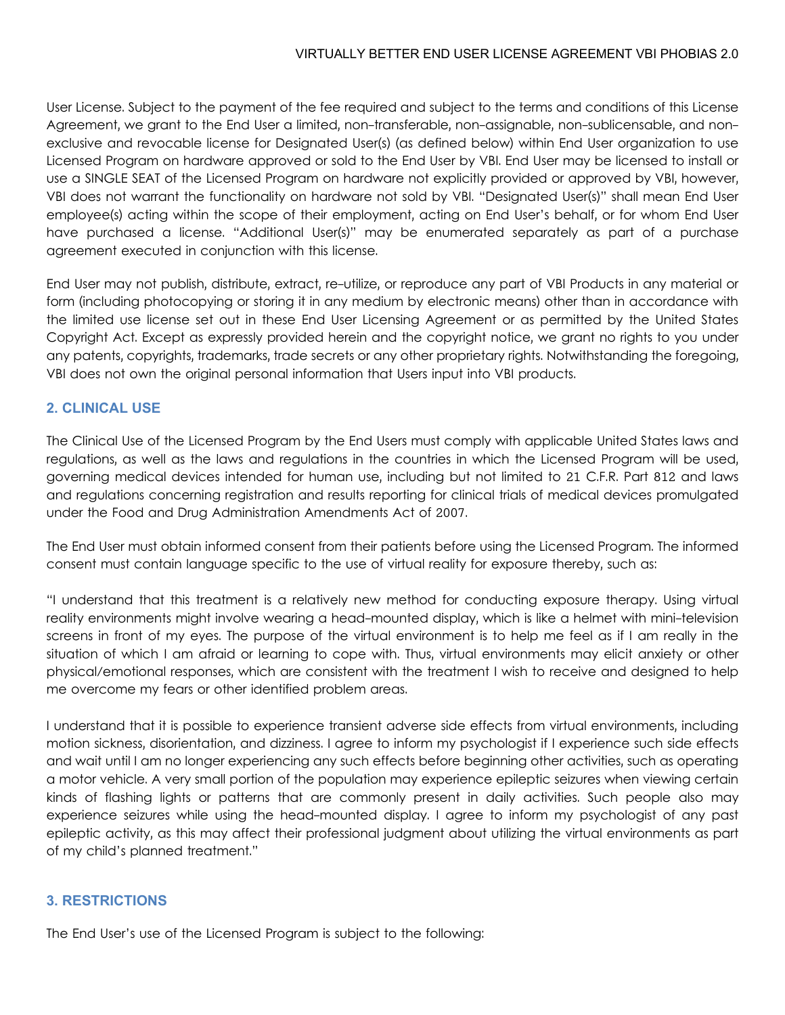User License. Subject to the payment of the fee required and subject to the terms and conditions of this License Agreement, we grant to the End User a limited, non-transferable, non-assignable, non-sublicensable, and nonexclusive and revocable license for Designated User(s) (as defined below) within End User organization to use Licensed Program on hardware approved or sold to the End User by VBI. End User may be licensed to install or use a SINGLE SEAT of the Licensed Program on hardware not explicitly provided or approved by VBI, however, VBI does not warrant the functionality on hardware not sold by VBI. "Designated User(s)" shall mean End User employee(s) acting within the scope of their employment, acting on End User's behalf, or for whom End User have purchased a license. "Additional User(s)" may be enumerated separately as part of a purchase agreement executed in conjunction with this license.

End User may not publish, distribute, extract, re-utilize, or reproduce any part of VBI Products in any material or form (including photocopying or storing it in any medium by electronic means) other than in accordance with the limited use license set out in these End User Licensing Agreement or as permitted by the United States Copyright Act. Except as expressly provided herein and the copyright notice, we grant no rights to you under any patents, copyrights, trademarks, trade secrets or any other proprietary rights. Notwithstanding the foregoing, VBI does not own the original personal information that Users input into VBI products.

### **2. CLINICAL USE**

The Clinical Use of the Licensed Program by the End Users must comply with applicable United States laws and regulations, as well as the laws and regulations in the countries in which the Licensed Program will be used, governing medical devices intended for human use, including but not limited to 21 C.F.R. Part 812 and laws and regulations concerning registration and results reporting for clinical trials of medical devices promulgated under the Food and Drug Administration Amendments Act of 2007.

The End User must obtain informed consent from their patients before using the Licensed Program. The informed consent must contain language specific to the use of virtual reality for exposure thereby, such as:

"I understand that this treatment is a relatively new method for conducting exposure therapy. Using virtual reality environments might involve wearing a head-mounted display, which is like a helmet with mini-television screens in front of my eyes. The purpose of the virtual environment is to help me feel as if I am really in the situation of which I am afraid or learning to cope with. Thus, virtual environments may elicit anxiety or other physical/emotional responses, which are consistent with the treatment I wish to receive and designed to help me overcome my fears or other identified problem areas.

I understand that it is possible to experience transient adverse side effects from virtual environments, including motion sickness, disorientation, and dizziness. I agree to inform my psychologist if I experience such side effects and wait until I am no longer experiencing any such effects before beginning other activities, such as operating a motor vehicle. A very small portion of the population may experience epileptic seizures when viewing certain kinds of flashing lights or patterns that are commonly present in daily activities. Such people also may experience seizures while using the head-mounted display. I agree to inform my psychologist of any past epileptic activity, as this may affect their professional judgment about utilizing the virtual environments as part of my child's planned treatment."

#### **3. RESTRICTIONS**

The End User's use of the Licensed Program is subject to the following: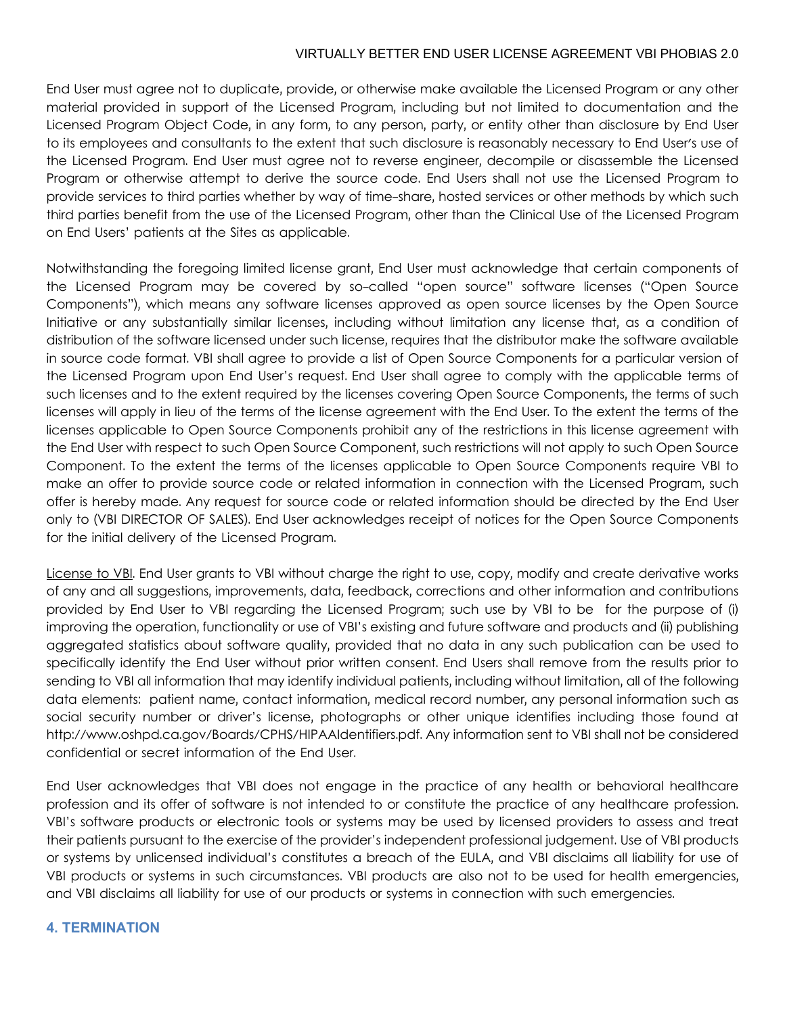End User must agree not to duplicate, provide, or otherwise make available the Licensed Program or any other material provided in support of the Licensed Program, including but not limited to documentation and the Licensed Program Object Code, in any form, to any person, party, or entity other than disclosure by End User to its employees and consultants to the extent that such disclosure is reasonably necessary to End User's use of the Licensed Program. End User must agree not to reverse engineer, decompile or disassemble the Licensed Program or otherwise attempt to derive the source code. End Users shall not use the Licensed Program to provide services to third parties whether by way of time-share, hosted services or other methods by which such third parties benefit from the use of the Licensed Program, other than the Clinical Use of the Licensed Program on End Users' patients at the Sites as applicable.

Notwithstanding the foregoing limited license grant, End User must acknowledge that certain components of the Licensed Program may be covered by so-called "open source" software licenses ("Open Source Components"), which means any software licenses approved as open source licenses by the Open Source Initiative or any substantially similar licenses, including without limitation any license that, as a condition of distribution of the software licensed under such license, requires that the distributor make the software available in source code format. VBI shall agree to provide a list of Open Source Components for a particular version of the Licensed Program upon End User's request. End User shall agree to comply with the applicable terms of such licenses and to the extent required by the licenses covering Open Source Components, the terms of such licenses will apply in lieu of the terms of the license agreement with the End User. To the extent the terms of the licenses applicable to Open Source Components prohibit any of the restrictions in this license agreement with the End User with respect to such Open Source Component, such restrictions will not apply to such Open Source Component. To the extent the terms of the licenses applicable to Open Source Components require VBI to make an offer to provide source code or related information in connection with the Licensed Program, such offer is hereby made. Any request for source code or related information should be directed by the End User only to (VBI DIRECTOR OF SALES). End User acknowledges receipt of notices for the Open Source Components for the initial delivery of the Licensed Program.

License to VBI. End User grants to VBI without charge the right to use, copy, modify and create derivative works of any and all suggestions, improvements, data, feedback, corrections and other information and contributions provided by End User to VBI regarding the Licensed Program; such use by VBI to be for the purpose of (i) improving the operation, functionality or use of VBI's existing and future software and products and (ii) publishing aggregated statistics about software quality, provided that no data in any such publication can be used to specifically identify the End User without prior written consent. End Users shall remove from the results prior to sending to VBI all information that may identify individual patients, including without limitation, all of the following data elements: patient name, contact information, medical record number, any personal information such as social security number or driver's license, photographs or other unique identifies including those found at http://www.oshpd.ca.gov/Boards/CPHS/HIPAAIdentifiers.pdf. Any information sent to VBI shall not be considered confidential or secret information of the End User.

End User acknowledges that VBI does not engage in the practice of any health or behavioral healthcare profession and its offer of software is not intended to or constitute the practice of any healthcare profession. VBI's software products or electronic tools or systems may be used by licensed providers to assess and treat their patients pursuant to the exercise of the provider's independent professional judgement. Use of VBI products or systems by unlicensed individual's constitutes a breach of the EULA, and VBI disclaims all liability for use of VBI products or systems in such circumstances. VBI products are also not to be used for health emergencies, and VBI disclaims all liability for use of our products or systems in connection with such emergencies.

### **4. TERMINATION**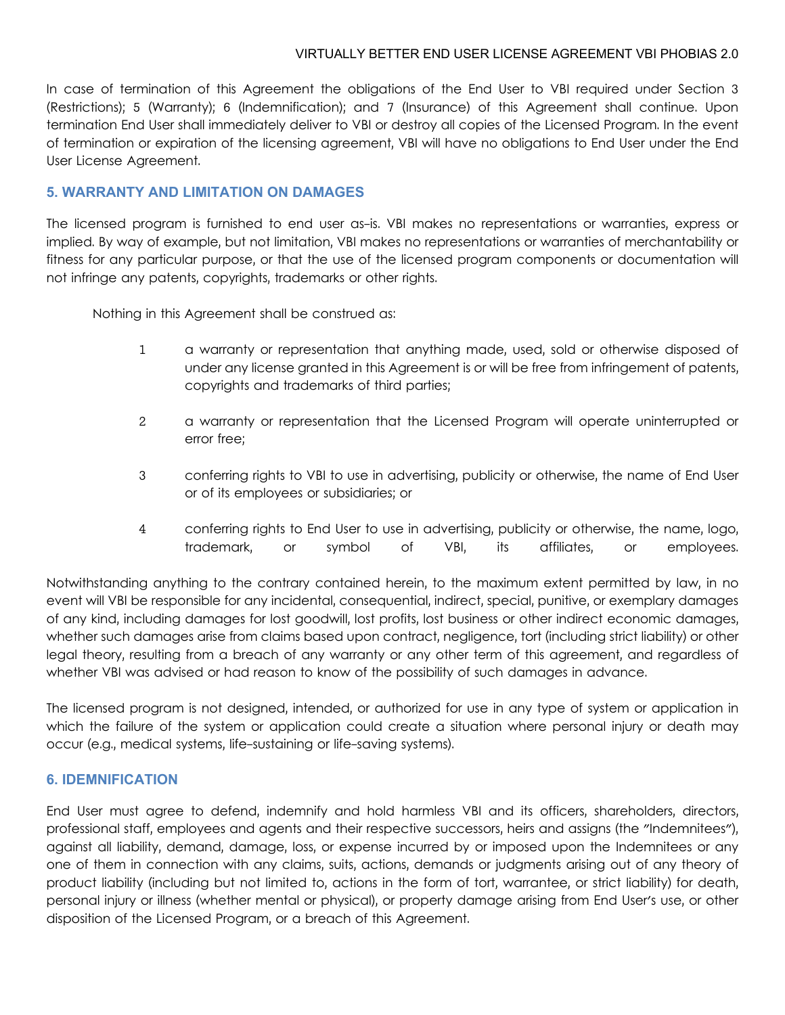In case of termination of this Agreement the obligations of the End User to VBI required under Section 3 (Restrictions); 5 (Warranty); 6 (Indemnification); and 7 (Insurance) of this Agreement shall continue. Upon termination End User shall immediately deliver to VBI or destroy all copies of the Licensed Program. In the event of termination or expiration of the licensing agreement, VBI will have no obligations to End User under the End User License Agreement.

### **5. WARRANTY AND LIMITATION ON DAMAGES**

The licensed program is furnished to end user as-is. VBI makes no representations or warranties, express or implied. By way of example, but not limitation, VBI makes no representations or warranties of merchantability or fitness for any particular purpose, or that the use of the licensed program components or documentation will not infringe any patents, copyrights, trademarks or other rights.

Nothing in this Agreement shall be construed as:

- 1 a warranty or representation that anything made, used, sold or otherwise disposed of under any license granted in this Agreement is or will be free from infringement of patents, copyrights and trademarks of third parties;
- 2 a warranty or representation that the Licensed Program will operate uninterrupted or error free;
- 3 conferring rights to VBI to use in advertising, publicity or otherwise, the name of End User or of its employees or subsidiaries; or
- 4 conferring rights to End User to use in advertising, publicity or otherwise, the name, logo, trademark, or symbol of VBI, its affiliates, or employees.

Notwithstanding anything to the contrary contained herein, to the maximum extent permitted by law, in no event will VBI be responsible for any incidental, consequential, indirect, special, punitive, or exemplary damages of any kind, including damages for lost goodwill, lost profits, lost business or other indirect economic damages, whether such damages arise from claims based upon contract, negligence, tort (including strict liability) or other legal theory, resulting from a breach of any warranty or any other term of this agreement, and regardless of whether VBI was advised or had reason to know of the possibility of such damages in advance.

The licensed program is not designed, intended, or authorized for use in any type of system or application in which the failure of the system or application could create a situation where personal injury or death may occur (e.g., medical systems, life-sustaining or life-saving systems).

### **6. IDEMNIFICATION**

End User must agree to defend, indemnify and hold harmless VBI and its officers, shareholders, directors, professional staff, employees and agents and their respective successors, heirs and assigns (the "Indemnitees"), against all liability, demand, damage, loss, or expense incurred by or imposed upon the Indemnitees or any one of them in connection with any claims, suits, actions, demands or judgments arising out of any theory of product liability (including but not limited to, actions in the form of tort, warrantee, or strict liability) for death, personal injury or illness (whether mental or physical), or property damage arising from End User's use, or other disposition of the Licensed Program, or a breach of this Agreement.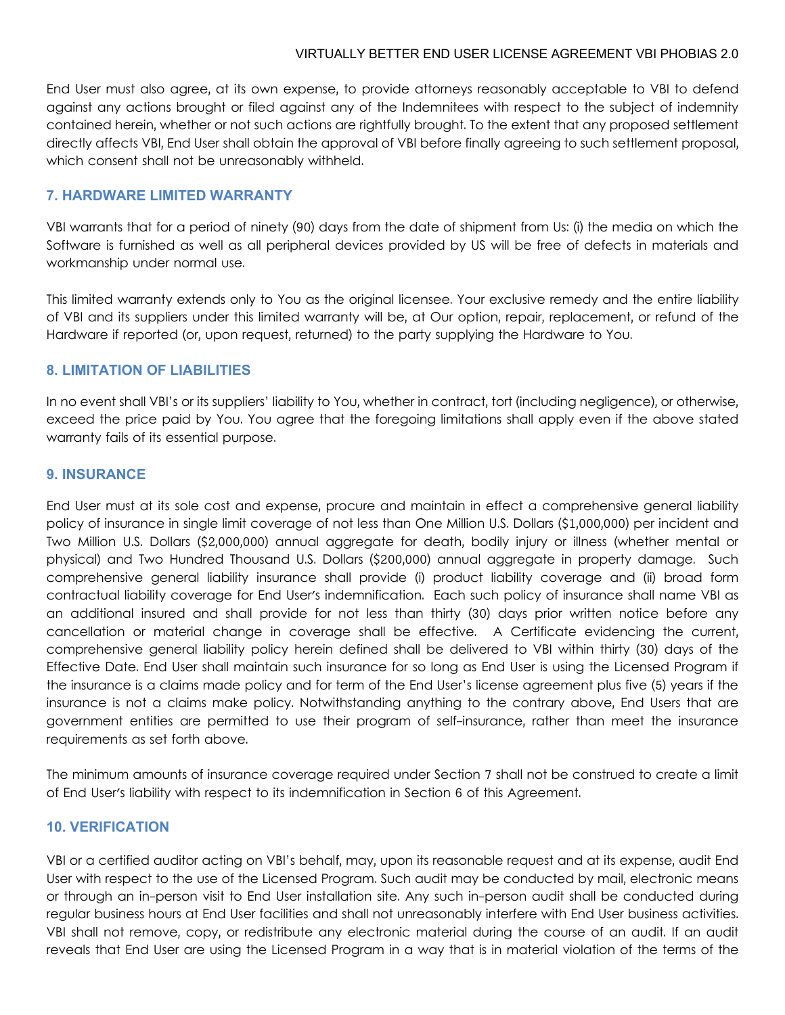End User must also agree, at its own expense, to provide attorneys reasonably acceptable to VBI to defend against any actions brought or filed against any of the Indemnitees with respect to the subject of indemnity contained herein, whether or not such actions are rightfully brought. To the extent that any proposed settlement directly affects VBI, End User shall obtain the approval of VBI before finally agreeing to such settlement proposal, which consent shall not be unreasonably withheld.

## **7. HARDWARE LIMITED WARRANTY**

VBI warrants that for a period of ninety (90) days from the date of shipment from Us: (i) the media on which the Software is furnished as well as all peripheral devices provided by US will be free of defects in materials and workmanship under normal use.

This limited warranty extends only to You as the original licensee. Your exclusive remedy and the entire liability of VBI and its suppliers under this limited warranty will be, at Our option, repair, replacement, or refund of the Hardware if reported (or, upon request, returned) to the party supplying the Hardware to You.

## **8. LIMITATION OF LIABILITIES**

In no event shall VBI's or its suppliers' liability to You, whether in contract, tort (including negligence), or otherwise, exceed the price paid by You. You agree that the foregoing limitations shall apply even if the above stated warranty fails of its essential purpose.

### **9. INSURANCE**

End User must at its sole cost and expense, procure and maintain in effect a comprehensive general liability policy of insurance in single limit coverage of not less than One Million U.S. Dollars (\$1,000,000) per incident and Two Million U.S. Dollars (\$2,000,000) annual aggregate for death, bodily injury or illness (whether mental or physical) and Two Hundred Thousand U.S. Dollars (\$200,000) annual aggregate in property damage. Such comprehensive general liability insurance shall provide (i) product liability coverage and (ii) broad form contractual liability coverage for End User's indemnification. Each such policy of insurance shall name VBI as an additional insured and shall provide for not less than thirty (30) days prior written notice before any cancellation or material change in coverage shall be effective. A Certificate evidencing the current, comprehensive general liability policy herein defined shall be delivered to VBI within thirty (30) days of the Effective Date. End User shall maintain such insurance for so long as End User is using the Licensed Program if the insurance is a claims made policy and for term of the End User's license agreement plus five (5) years if the insurance is not a claims make policy. Notwithstanding anything to the contrary above, End Users that are government entities are permitted to use their program of self-insurance, rather than meet the insurance requirements as set forth above.

The minimum amounts of insurance coverage required under Section 7 shall not be construed to create a limit of End User's liability with respect to its indemnification in Section 6 of this Agreement.

# **10. VERIFICATION**

VBI or a certified auditor acting on VBI's behalf, may, upon its reasonable request and at its expense, audit End User with respect to the use of the Licensed Program. Such audit may be conducted by mail, electronic means or through an in-person visit to End User installation site. Any such in-person audit shall be conducted during regular business hours at End User facilities and shall not unreasonably interfere with End User business activities. VBI shall not remove, copy, or redistribute any electronic material during the course of an audit. If an audit reveals that End User are using the Licensed Program in a way that is in material violation of the terms of the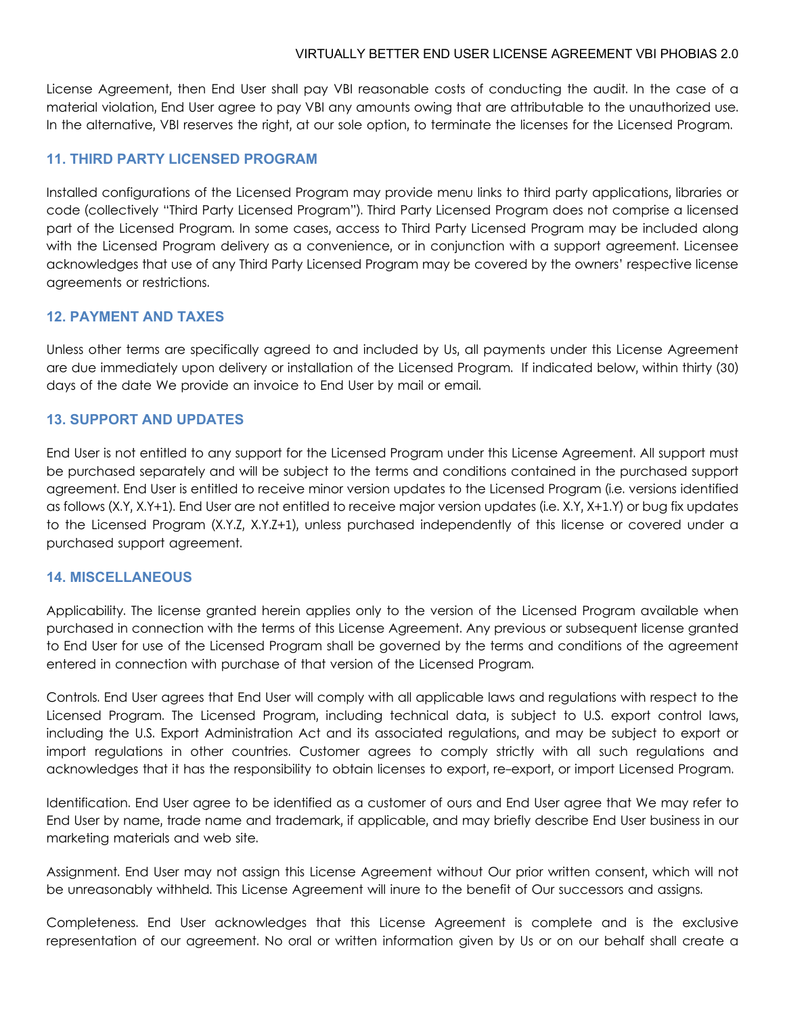License Agreement, then End User shall pay VBI reasonable costs of conducting the audit. In the case of a material violation, End User agree to pay VBI any amounts owing that are attributable to the unauthorized use. In the alternative, VBI reserves the right, at our sole option, to terminate the licenses for the Licensed Program.

## **11. THIRD PARTY LICENSED PROGRAM**

Installed configurations of the Licensed Program may provide menu links to third party applications, libraries or code (collectively "Third Party Licensed Program"). Third Party Licensed Program does not comprise a licensed part of the Licensed Program. In some cases, access to Third Party Licensed Program may be included along with the Licensed Program delivery as a convenience, or in conjunction with a support agreement. Licensee acknowledges that use of any Third Party Licensed Program may be covered by the owners' respective license agreements or restrictions.

## **12. PAYMENT AND TAXES**

Unless other terms are specifically agreed to and included by Us, all payments under this License Agreement are due immediately upon delivery or installation of the Licensed Program. If indicated below, within thirty (30) days of the date We provide an invoice to End User by mail or email.

## **13. SUPPORT AND UPDATES**

End User is not entitled to any support for the Licensed Program under this License Agreement. All support must be purchased separately and will be subject to the terms and conditions contained in the purchased support agreement. End User is entitled to receive minor version updates to the Licensed Program (i.e. versions identified as follows (X.Y, X.Y+1). End User are not entitled to receive major version updates (i.e. X.Y, X+1.Y) or bug fix updates to the Licensed Program (X.Y.Z, X.Y.Z+1), unless purchased independently of this license or covered under a purchased support agreement.

### **14. MISCELLANEOUS**

Applicability. The license granted herein applies only to the version of the Licensed Program available when purchased in connection with the terms of this License Agreement. Any previous or subsequent license granted to End User for use of the Licensed Program shall be governed by the terms and conditions of the agreement entered in connection with purchase of that version of the Licensed Program.

Controls. End User agrees that End User will comply with all applicable laws and regulations with respect to the Licensed Program. The Licensed Program, including technical data, is subject to U.S. export control laws, including the U.S. Export Administration Act and its associated regulations, and may be subject to export or import regulations in other countries. Customer agrees to comply strictly with all such regulations and acknowledges that it has the responsibility to obtain licenses to export, re-export, or import Licensed Program.

Identification. End User agree to be identified as a customer of ours and End User agree that We may refer to End User by name, trade name and trademark, if applicable, and may briefly describe End User business in our marketing materials and web site.

Assignment. End User may not assign this License Agreement without Our prior written consent, which will not be unreasonably withheld. This License Agreement will inure to the benefit of Our successors and assigns.

Completeness. End User acknowledges that this License Agreement is complete and is the exclusive representation of our agreement. No oral or written information given by Us or on our behalf shall create a